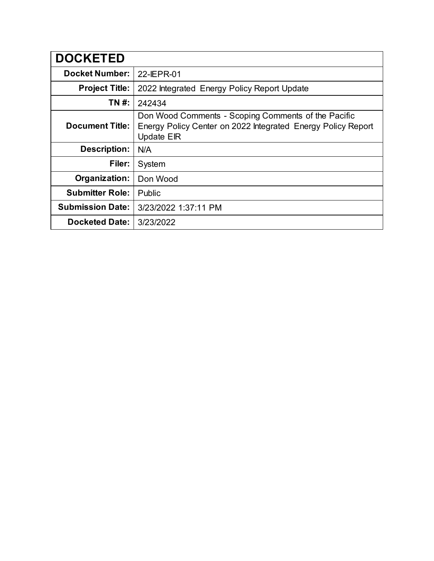| <b>DOCKETED</b>         |                                                                                                                                          |
|-------------------------|------------------------------------------------------------------------------------------------------------------------------------------|
| <b>Docket Number:</b>   | 22-IEPR-01                                                                                                                               |
| <b>Project Title:</b>   | 2022 Integrated Energy Policy Report Update                                                                                              |
| TN #:                   | 242434                                                                                                                                   |
| <b>Document Title:</b>  | Don Wood Comments - Scoping Comments of the Pacific<br>Energy Policy Center on 2022 Integrated Energy Policy Report<br><b>Update EIR</b> |
| <b>Description:</b>     | N/A                                                                                                                                      |
| Filer:                  | System                                                                                                                                   |
| Organization:           | Don Wood                                                                                                                                 |
| <b>Submitter Role:</b>  | Public                                                                                                                                   |
| <b>Submission Date:</b> | 3/23/2022 1:37:11 PM                                                                                                                     |
| <b>Docketed Date:</b>   | 3/23/2022                                                                                                                                |